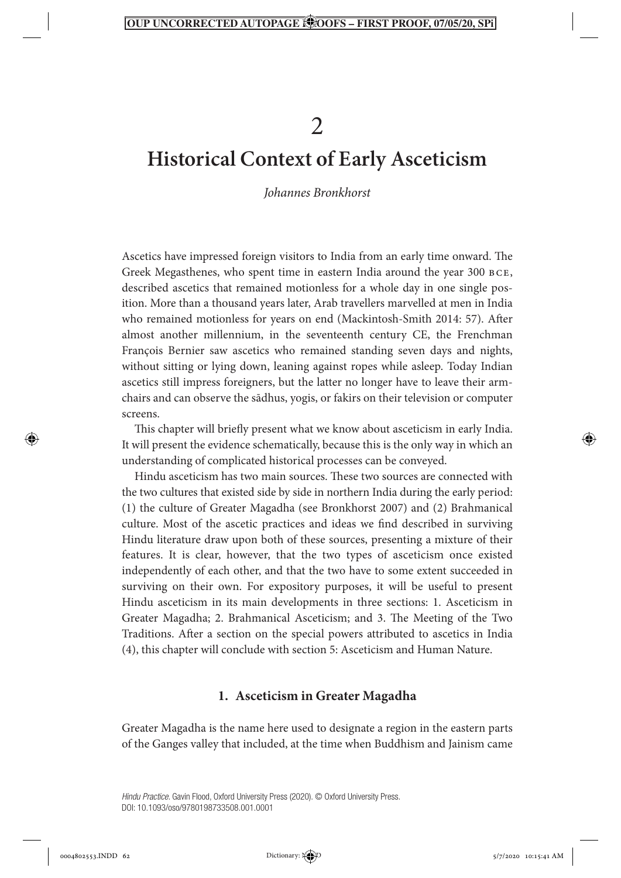2

# **Historical Context of Early Asceticism**

## *Johannes Bronkhorst*

Ascetics have impressed foreign visitors to India from an early time onward. The Greek Megasthenes, who spent time in eastern India around the year 300 BCE, described ascetics that remained motionless for a whole day in one single position. More than a thousand years later, Arab travellers marvelled at men in India who remained motionless for years on end (Mackintosh-Smith 2014: 57). Afer almost another millennium, in the seventeenth century CE, the Frenchman François Bernier saw ascetics who remained standing seven days and nights, without sitting or lying down, leaning against ropes while asleep. Today Indian ascetics still impress foreigners, but the latter no longer have to leave their armchairs and can observe the sādhus, yogis, or fakirs on their television or computer screens.

This chapter will briefly present what we know about asceticism in early India. It will present the evidence schematically, because this is the only way in which an understanding of complicated historical processes can be conveyed.

Hindu asceticism has two main sources. These two sources are connected with the two cultures that existed side by side in northern India during the early period: (1) the culture of Greater Magadha (see Bronkhorst 2007) and (2) Brahmanical culture. Most of the ascetic practices and ideas we fnd described in surviving Hindu literature draw upon both of these sources, presenting a mixture of their features. It is clear, however, that the two types of asceticism once existed independently of each other, and that the two have to some extent succeeded in surviving on their own. For expository purposes, it will be useful to present Hindu asceticism in its main developments in three sections: 1. Asceticism in Greater Magadha; 2. Brahmanical Asceticism; and 3. The Meeting of the Two Traditions. Afer a section on the special powers attributed to ascetics in India (4), this chapter will conclude with section 5: Asceticism and Human Nature.

#### **1. Asceticism in Greater Magadha**

Greater Magadha is the name here used to designate a region in the eastern parts of the Ganges valley that included, at the time when Buddhism and Jainism came

*Hindu Practice*. Gavin Flood, Oxford University Press (2020). © Oxford University Press. DOI: 10.1093/oso/9780198733508.001.0001

⊕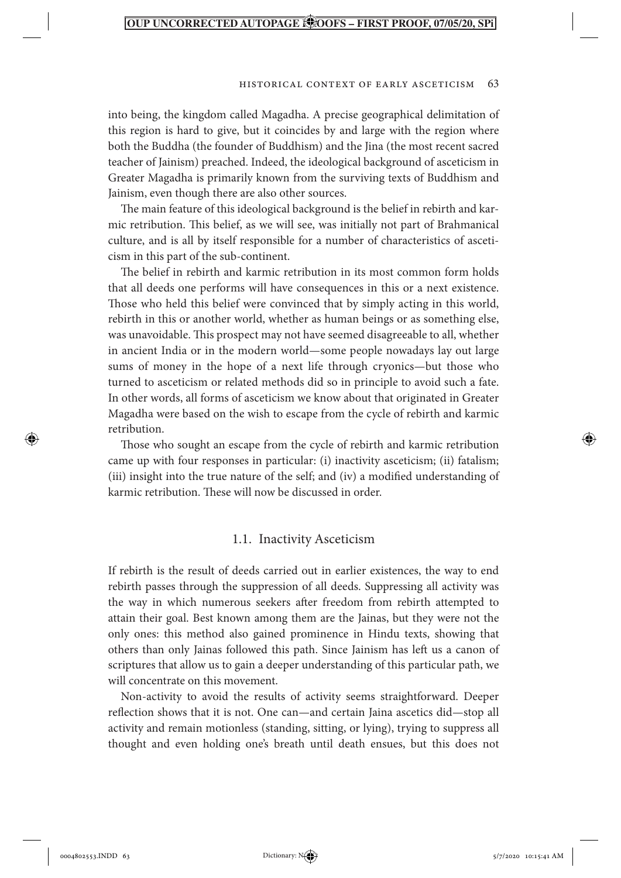#### Historical Context of Early Asceticism 63

into being, the kingdom called Magadha. A precise geographical delimitation of this region is hard to give, but it coincides by and large with the region where both the Buddha (the founder of Buddhism) and the Jina (the most recent sacred teacher of Jainism) preached. Indeed, the ideological background of asceticism in Greater Magadha is primarily known from the surviving texts of Buddhism and Jainism, even though there are also other sources.

The main feature of this ideological background is the belief in rebirth and karmic retribution. This belief, as we will see, was initially not part of Brahmanical culture, and is all by itself responsible for a number of characteristics of asceticism in this part of the sub-continent.

The belief in rebirth and karmic retribution in its most common form holds that all deeds one performs will have consequences in this or a next existence. Those who held this belief were convinced that by simply acting in this world, rebirth in this or another world, whether as human beings or as something else, was unavoidable. This prospect may not have seemed disagreeable to all, whether in ancient India or in the modern world—some people nowadays lay out large sums of money in the hope of a next life through cryonics—but those who turned to asceticism or related methods did so in principle to avoid such a fate. In other words, all forms of asceticism we know about that originated in Greater Magadha were based on the wish to escape from the cycle of rebirth and karmic retribution.

Those who sought an escape from the cycle of rebirth and karmic retribution came up with four responses in particular: (i) inactivity asceticism; (ii) fatalism; (iii) insight into the true nature of the self; and (iv) a modifed understanding of karmic retribution. These will now be discussed in order.

#### 1.1. Inactivity Asceticism

If rebirth is the result of deeds carried out in earlier existences, the way to end rebirth passes through the suppression of all deeds. Suppressing all activity was the way in which numerous seekers afer freedom from rebirth attempted to attain their goal. Best known among them are the Jainas, but they were not the only ones: this method also gained prominence in Hindu texts, showing that others than only Jainas followed this path. Since Jainism has left us a canon of scriptures that allow us to gain a deeper understanding of this particular path, we will concentrate on this movement.

Non-activity to avoid the results of activity seems straightforward. Deeper refection shows that it is not. One can—and certain Jaina ascetics did—stop all activity and remain motionless (standing, sitting, or lying), trying to suppress all thought and even holding one's breath until death ensues, but this does not

↔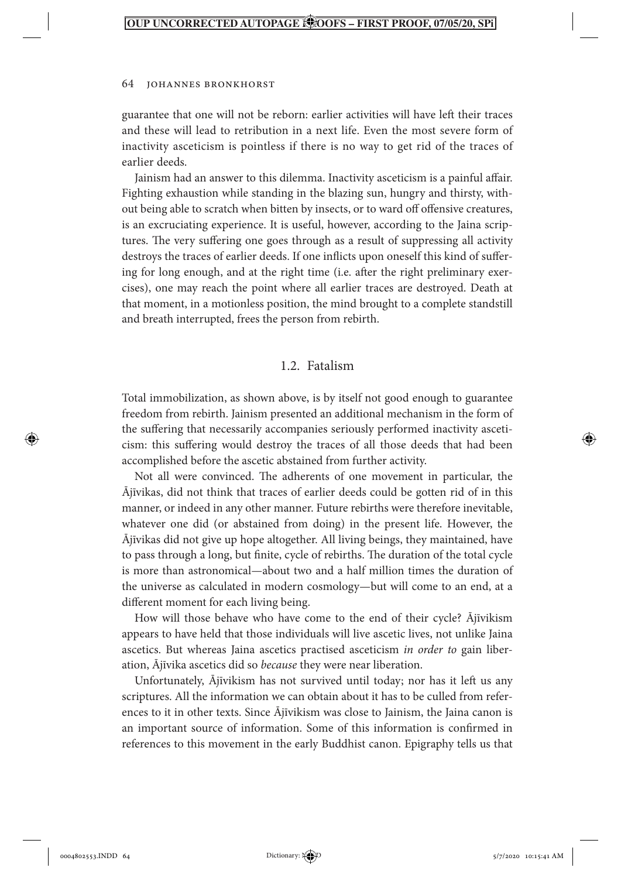guarantee that one will not be reborn: earlier activities will have lef their traces and these will lead to retribution in a next life. Even the most severe form of inactivity asceticism is pointless if there is no way to get rid of the traces of earlier deeds.

Jainism had an answer to this dilemma. Inactivity asceticism is a painful afair. Fighting exhaustion while standing in the blazing sun, hungry and thirsty, without being able to scratch when bitten by insects, or to ward of ofensive creatures, is an excruciating experience. It is useful, however, according to the Jaina scriptures. The very suffering one goes through as a result of suppressing all activity destroys the traces of earlier deeds. If one inficts upon oneself this kind of sufering for long enough, and at the right time (i.e. after the right preliminary exercises), one may reach the point where all earlier traces are destroyed. Death at that moment, in a motionless position, the mind brought to a complete standstill and breath interrupted, frees the person from rebirth.

## 1.2. Fatalism

Total immobilization, as shown above, is by itself not good enough to guarantee freedom from rebirth. Jainism presented an additional mechanism in the form of the sufering that necessarily accompanies seriously performed inactivity asceticism: this sufering would destroy the traces of all those deeds that had been accomplished before the ascetic abstained from further activity.

Not all were convinced. The adherents of one movement in particular, the Ājīvikas, did not think that traces of earlier deeds could be gotten rid of in this manner, or indeed in any other manner. Future rebirths were therefore inevitable, whatever one did (or abstained from doing) in the present life. However, the Ājīvikas did not give up hope altogether. All living beings, they maintained, have to pass through a long, but finite, cycle of rebirths. The duration of the total cycle is more than astronomical—about two and a half million times the duration of the universe as calculated in modern cosmology—but will come to an end, at a diferent moment for each living being.

How will those behave who have come to the end of their cycle? Ājīvikism appears to have held that those individuals will live ascetic lives, not unlike Jaina ascetics. But whereas Jaina ascetics practised asceticism *in order to* gain liberation, Ājīvika ascetics did so *because* they were near liberation.

Unfortunately, Ājīvikism has not survived until today; nor has it left us any scriptures. All the information we can obtain about it has to be culled from references to it in other texts. Since Ājīvikism was close to Jainism, the Jaina canon is an important source of information. Some of this information is confrmed in references to this movement in the early Buddhist canon. Epigraphy tells us that

↔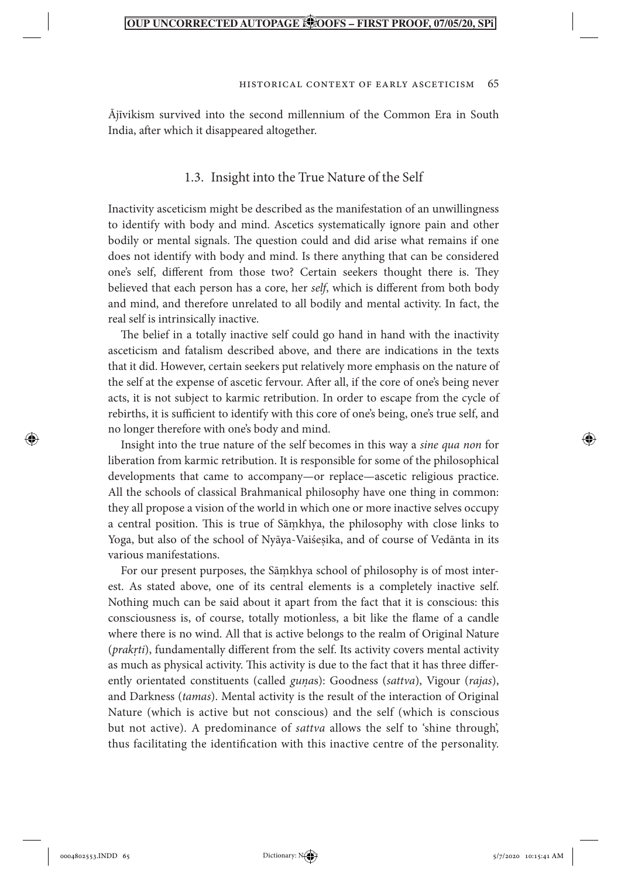#### Historical Context of Early Asceticism 65

Ājīvikism survived into the second millennium of the Common Era in South India, afer which it disappeared altogether.

# 1.3. Insight into the True Nature of the Self

Inactivity asceticism might be described as the manifestation of an unwillingness to identify with body and mind. Ascetics systematically ignore pain and other bodily or mental signals. The question could and did arise what remains if one does not identify with body and mind. Is there anything that can be considered one's self, different from those two? Certain seekers thought there is. They believed that each person has a core, her *self*, which is diferent from both body and mind, and therefore unrelated to all bodily and mental activity. In fact, the real self is intrinsically inactive.

The belief in a totally inactive self could go hand in hand with the inactivity asceticism and fatalism described above, and there are indications in the texts that it did. However, certain seekers put relatively more emphasis on the nature of the self at the expense of ascetic fervour. Afer all, if the core of one's being never acts, it is not subject to karmic retribution. In order to escape from the cycle of rebirths, it is sufficient to identify with this core of one's being, one's true self, and no longer therefore with one's body and mind.

Insight into the true nature of the self becomes in this way a *sine qua non* for liberation from karmic retribution. It is responsible for some of the philosophical developments that came to accompany—or replace—ascetic religious practice. All the schools of classical Brahmanical philosophy have one thing in common: they all propose a vision of the world in which one or more inactive selves occupy a central position. This is true of Sāmkhya, the philosophy with close links to Yoga, but also of the school of Nyāya-Vaiśesika, and of course of Vedānta in its various manifestations.

For our present purposes, the Sāṃkhya school of philosophy is of most interest. As stated above, one of its central elements is a completely inactive self. Nothing much can be said about it apart from the fact that it is conscious: this consciousness is, of course, totally motionless, a bit like the fame of a candle where there is no wind. All that is active belongs to the realm of Original Nature (*prakr*̣*ti*), fundamentally diferent from the self. Its activity covers mental activity as much as physical activity. This activity is due to the fact that it has three differently orientated constituents (called *gunas*): Goodness (*sattva*), Vigour (*rajas*), and Darkness (*tamas*). Mental activity is the result of the interaction of Original Nature (which is active but not conscious) and the self (which is conscious but not active). A predominance of *sattva* allows the self to 'shine through', thus facilitating the identifcation with this inactive centre of the personality.

↔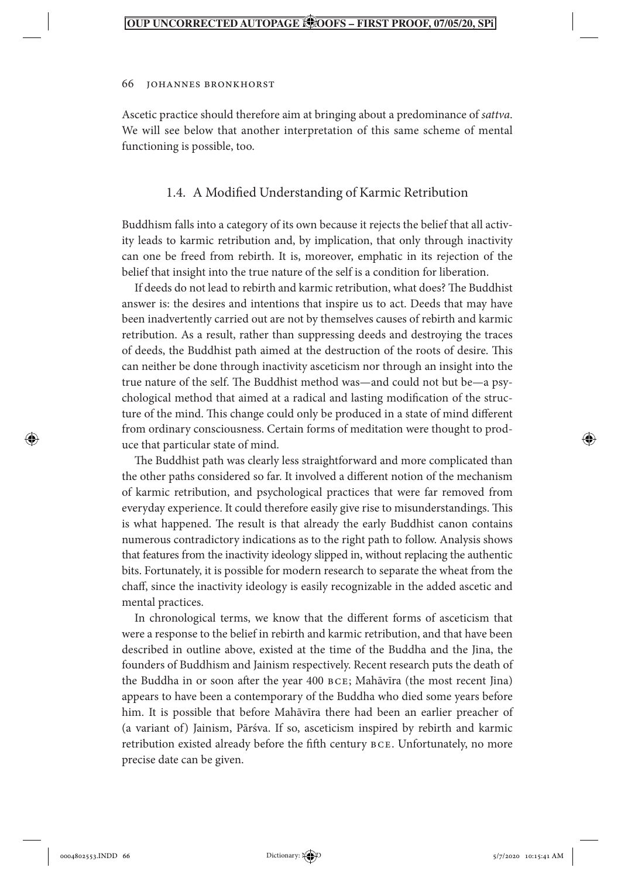#### 66 Johannes Bronkhorst

Ascetic practice should therefore aim at bringing about a predominance of *sattva*. We will see below that another interpretation of this same scheme of mental functioning is possible, too.

## 1.4. A Modifed Understanding of Karmic Retribution

Buddhism falls into a category of its own because it rejects the belief that all activity leads to karmic retribution and, by implication, that only through inactivity can one be freed from rebirth. It is, moreover, emphatic in its rejection of the belief that insight into the true nature of the self is a condition for liberation.

If deeds do not lead to rebirth and karmic retribution, what does? The Buddhist answer is: the desires and intentions that inspire us to act. Deeds that may have been inadvertently carried out are not by themselves causes of rebirth and karmic retribution. As a result, rather than suppressing deeds and destroying the traces of deeds, the Buddhist path aimed at the destruction of the roots of desire. This can neither be done through inactivity asceticism nor through an insight into the true nature of the self. The Buddhist method was—and could not but be—a psychological method that aimed at a radical and lasting modifcation of the structure of the mind. This change could only be produced in a state of mind different from ordinary consciousness. Certain forms of meditation were thought to produce that particular state of mind.

The Buddhist path was clearly less straightforward and more complicated than the other paths considered so far. It involved a diferent notion of the mechanism of karmic retribution, and psychological practices that were far removed from everyday experience. It could therefore easily give rise to misunderstandings. This is what happened. The result is that already the early Buddhist canon contains numerous contradictory indications as to the right path to follow. Analysis shows that features from the inactivity ideology slipped in, without replacing the authentic bits. Fortunately, it is possible for modern research to separate the wheat from the chaf, since the inactivity ideology is easily recognizable in the added ascetic and mental practices.

In chronological terms, we know that the diferent forms of asceticism that were a response to the belief in rebirth and karmic retribution, and that have been described in outline above, existed at the time of the Buddha and the Jina, the founders of Buddhism and Jainism respectively. Recent research puts the death of the Buddha in or soon afer the year 400 bce; Mahāvīra (the most recent Jina) appears to have been a contemporary of the Buddha who died some years before him. It is possible that before Mahāvīra there had been an earlier preacher of (a variant of) Jainism, Pārśva. If so, asceticism inspired by rebirth and karmic retribution existed already before the fifth century BCE. Unfortunately, no more precise date can be given.

↔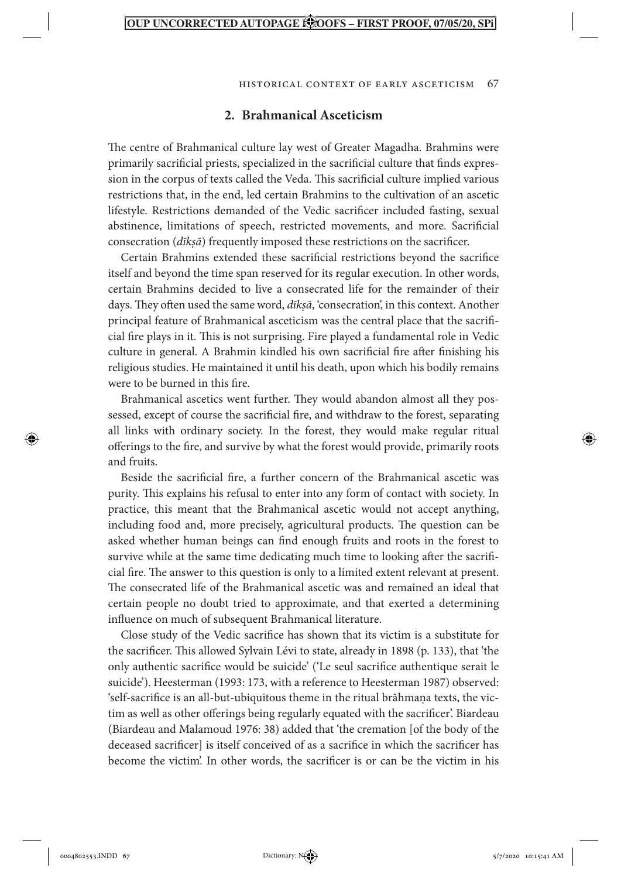#### Historical Context of Early Asceticism 67

# **2. Brahmanical Asceticism**

The centre of Brahmanical culture lay west of Greater Magadha. Brahmins were primarily sacrifcial priests, specialized in the sacrifcial culture that fnds expression in the corpus of texts called the Veda. This sacrificial culture implied various restrictions that, in the end, led certain Brahmins to the cultivation of an ascetic lifestyle. Restrictions demanded of the Vedic sacrifcer included fasting, sexual abstinence, limitations of speech, restricted movements, and more. Sacrifcial consecration (*d*ī*ks*̣ā) frequently imposed these restrictions on the sacrifcer.

Certain Brahmins extended these sacrifcial restrictions beyond the sacrifce itself and beyond the time span reserved for its regular execution. In other words, certain Brahmins decided to live a consecrated life for the remainder of their days. They often used the same word, *dīksā*, 'consecration', in this context. Another principal feature of Brahmanical asceticism was the central place that the sacrifcial fre plays in it. Tis is not surprising. Fire played a fundamental role in Vedic culture in general. A Brahmin kindled his own sacrifcial fre afer fnishing his religious studies. He maintained it until his death, upon which his bodily remains were to be burned in this fre.

Brahmanical ascetics went further. They would abandon almost all they possessed, except of course the sacrifcial fre, and withdraw to the forest, separating all links with ordinary society. In the forest, they would make regular ritual oferings to the fre, and survive by what the forest would provide, primarily roots and fruits.

Beside the sacrifcial fre, a further concern of the Brahmanical ascetic was purity. This explains his refusal to enter into any form of contact with society. In practice, this meant that the Brahmanical ascetic would not accept anything, including food and, more precisely, agricultural products. The question can be asked whether human beings can fnd enough fruits and roots in the forest to survive while at the same time dedicating much time to looking after the sacrificial fire. The answer to this question is only to a limited extent relevant at present. The consecrated life of the Brahmanical ascetic was and remained an ideal that certain people no doubt tried to approximate, and that exerted a determining infuence on much of subsequent Brahmanical literature.

Close study of the Vedic sacrifce has shown that its victim is a substitute for the sacrificer. This allowed Sylvain Lévi to state, already in 1898 (p. 133), that 'the only authentic sacrifce would be suicide' ('Le seul sacrifce authentique serait le suicide'). Heesterman (1993: 173, with a reference to Heesterman 1987) observed: 'self-sacrifice is an all-but-ubiquitous theme in the ritual brāhmana texts, the victim as well as other offerings being regularly equated with the sacrificer'. Biardeau (Biardeau and Malamoud 1976: 38) added that 'the cremation [of the body of the deceased sacrifcer] is itself conceived of as a sacrifce in which the sacrifcer has become the victim'. In other words, the sacrifcer is or can be the victim in his

↔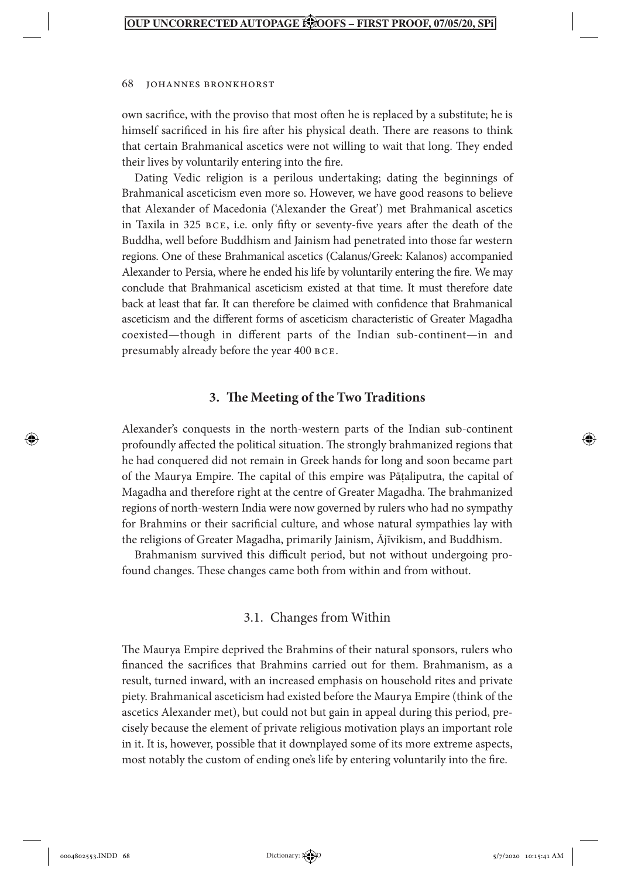own sacrifce, with the proviso that most ofen he is replaced by a substitute; he is himself sacrificed in his fire after his physical death. There are reasons to think that certain Brahmanical ascetics were not willing to wait that long. They ended their lives by voluntarily entering into the fre.

Dating Vedic religion is a perilous undertaking; dating the beginnings of Brahmanical asceticism even more so. However, we have good reasons to believe that Alexander of Macedonia ('Alexander the Great') met Brahmanical ascetics in Taxila in 325 bce, i.e. only ffy or seventy-fve years afer the death of the Buddha, well before Buddhism and Jainism had penetrated into those far western regions. One of these Brahmanical ascetics (Calanus/Greek: Kalanos) accompanied Alexander to Persia, where he ended his life by voluntarily entering the fre. We may conclude that Brahmanical asceticism existed at that time. It must therefore date back at least that far. It can therefore be claimed with confdence that Brahmanical asceticism and the diferent forms of asceticism characteristic of Greater Magadha coexisted—though in diferent parts of the Indian sub-continent—in and presumably already before the year 400 bce.

## **3. Te Meeting of the Two Traditions**

Alexander's conquests in the north-western parts of the Indian sub-continent profoundly affected the political situation. The strongly brahmanized regions that he had conquered did not remain in Greek hands for long and soon became part of the Maurya Empire. The capital of this empire was Pataliputra, the capital of Magadha and therefore right at the centre of Greater Magadha. The brahmanized regions of north-western India were now governed by rulers who had no sympathy for Brahmins or their sacrifcial culture, and whose natural sympathies lay with the religions of Greater Magadha, primarily Jainism, Ājīvikism, and Buddhism.

Brahmanism survived this difficult period, but not without undergoing profound changes. These changes came both from within and from without.

# 3.1. Changes from Within

The Maurya Empire deprived the Brahmins of their natural sponsors, rulers who fnanced the sacrifces that Brahmins carried out for them. Brahmanism, as a result, turned inward, with an increased emphasis on household rites and private piety. Brahmanical asceticism had existed before the Maurya Empire (think of the ascetics Alexander met), but could not but gain in appeal during this period, precisely because the element of private religious motivation plays an important role in it. It is, however, possible that it downplayed some of its more extreme aspects, most notably the custom of ending one's life by entering voluntarily into the fre.

↔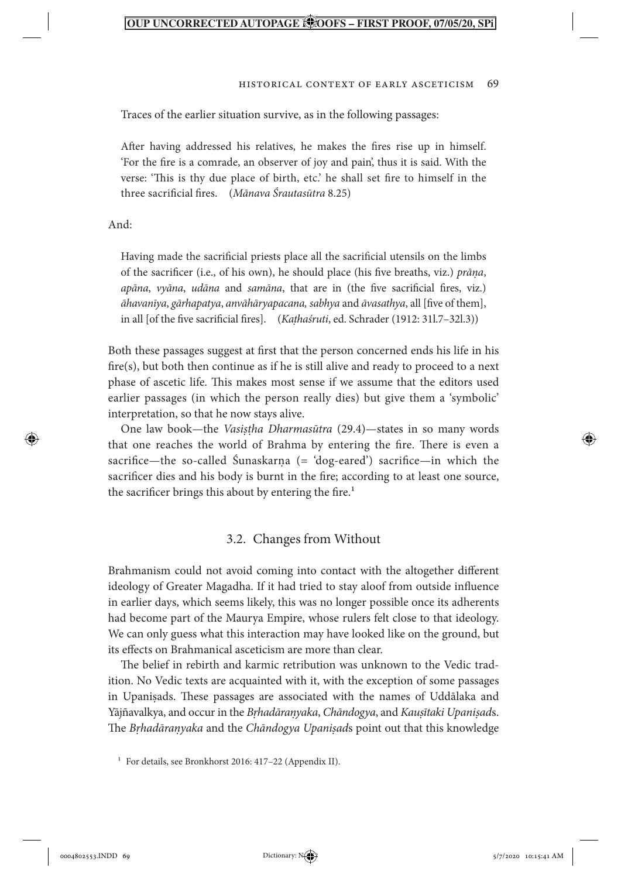#### Historical Context of Early Asceticism 69

Traces of the earlier situation survive, as in the following passages:

Afer having addressed his relatives, he makes the fres rise up in himself. 'For the fre is a comrade, an observer of joy and pain', thus it is said. With the verse: 'This is thy due place of birth, etc.' he shall set fire to himself in the three sacrifcial fres. (*M*ā*nava* Ś*rautas*ū*tra* 8.25)

And:

↔

Having made the sacrifcial priests place all the sacrifcial utensils on the limbs of the sacrifcer (i.e., of his own), he should place (his fve breaths, viz.) *pr*ā*n*̣*a*, *ap*ā*na*, *vy*ā*na*, *ud*ā*na* and *sam*ā*na*, that are in (the fve sacrifcial fres, viz.) ā*havan*ī*ya*, *g*ā*rhapatya*, *anv*ā*h*ā*ryapacana, sabhya* and ā*vasathya*, all [fve of them], in all [of the five sacrificial fires]. (*Kathaśruti*, ed. Schrader (1912: 31l.7–32l.3))

Both these passages suggest at frst that the person concerned ends his life in his fire(s), but both then continue as if he is still alive and ready to proceed to a next phase of ascetic life. Tis makes most sense if we assume that the editors used earlier passages (in which the person really dies) but give them a 'symbolic' interpretation, so that he now stays alive.

One law book—the *Vasistha Dharmasūtra* (29.4)—states in so many words that one reaches the world of Brahma by entering the fire. There is even a sacrifice—the so-called Śunaskarna (= 'dog-eared') sacrifice—in which the sacrifcer dies and his body is burnt in the fre; according to at least one source, the sacrificer brings this about by entering the fire.<sup>1</sup>

## 3.2. Changes from Without

Brahmanism could not avoid coming into contact with the altogether diferent ideology of Greater Magadha. If it had tried to stay aloof from outside infuence in earlier days, which seems likely, this was no longer possible once its adherents had become part of the Maurya Empire, whose rulers felt close to that ideology. We can only guess what this interaction may have looked like on the ground, but its efects on Brahmanical asceticism are more than clear.

The belief in rebirth and karmic retribution was unknown to the Vedic tradition. No Vedic texts are acquainted with it, with the exception of some passages in Upanisads. These passages are associated with the names of Uddālaka and Yājñavalkya, and occur in the *Brhadāranyaka*, *Chāndogya*, and *Kausītaki Upanisads*. The *Brhadāranyaka* and the *Chāndogya Upanisads* point out that this knowledge

<sup>1</sup> For details, see Bronkhorst 2016: 417–22 (Appendix II).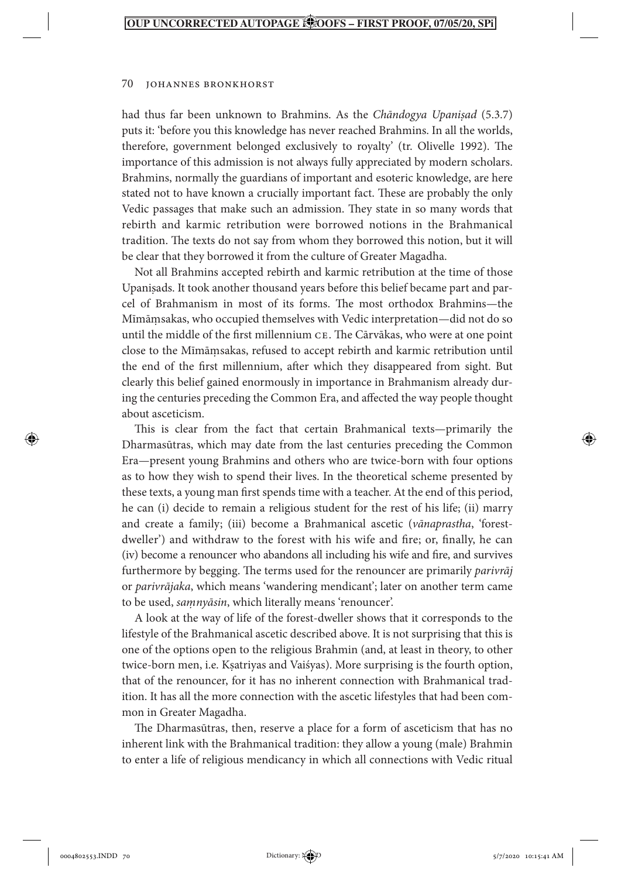had thus far been unknown to Brahmins. As the *Ch*ā*ndogya Upanis*̣*ad* (5.3.7) puts it: 'before you this knowledge has never reached Brahmins. In all the worlds, therefore, government belonged exclusively to royalty' (tr. Olivelle 1992). The importance of this admission is not always fully appreciated by modern scholars. Brahmins, normally the guardians of important and esoteric knowledge, are here stated not to have known a crucially important fact. These are probably the only Vedic passages that make such an admission. They state in so many words that rebirth and karmic retribution were borrowed notions in the Brahmanical tradition. The texts do not say from whom they borrowed this notion, but it will be clear that they borrowed it from the culture of Greater Magadha.

Not all Brahmins accepted rebirth and karmic retribution at the time of those Upanisads. It took another thousand years before this belief became part and parcel of Brahmanism in most of its forms. The most orthodox Brahmins-the Mīmāmsakas, who occupied themselves with Vedic interpretation—did not do so until the middle of the first millennium CE. The Cārvākas, who were at one point close to the Mīmāṃsakas, refused to accept rebirth and karmic retribution until the end of the frst millennium, afer which they disappeared from sight. But clearly this belief gained enormously in importance in Brahmanism already during the centuries preceding the Common Era, and afected the way people thought about asceticism.

This is clear from the fact that certain Brahmanical texts—primarily the Dharmasūtras, which may date from the last centuries preceding the Common Era—present young Brahmins and others who are twice-born with four options as to how they wish to spend their lives. In the theoretical scheme presented by these texts, a young man frst spends time with a teacher. At the end of this period, he can (i) decide to remain a religious student for the rest of his life; (ii) marry and create a family; (iii) become a Brahmanical ascetic (*v*ā*naprastha*, 'forestdweller') and withdraw to the forest with his wife and fre; or, fnally, he can (iv) become a renouncer who abandons all including his wife and fre, and survives furthermore by begging. The terms used for the renouncer are primarily *parivraj* or *parivr*ā*jaka*, which means 'wandering mendicant'; later on another term came to be used, *saṃny*ā*sin*, which literally means 'renouncer'.

A look at the way of life of the forest-dweller shows that it corresponds to the lifestyle of the Brahmanical ascetic described above. It is not surprising that this is one of the options open to the religious Brahmin (and, at least in theory, to other twice-born men, i.e. Ksatriyas and Vaisyas). More surprising is the fourth option, that of the renouncer, for it has no inherent connection with Brahmanical tradition. It has all the more connection with the ascetic lifestyles that had been common in Greater Magadha.

The Dharmasūtras, then, reserve a place for a form of asceticism that has no inherent link with the Brahmanical tradition: they allow a young (male) Brahmin to enter a life of religious mendicancy in which all connections with Vedic ritual

↔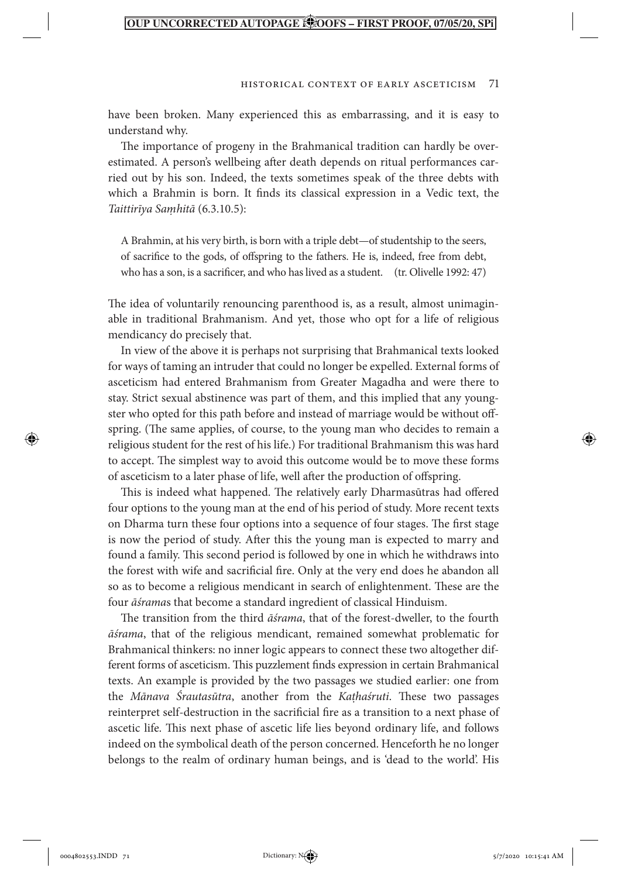#### Historical Context of Early Asceticism 71

have been broken. Many experienced this as embarrassing, and it is easy to understand why.

The importance of progeny in the Brahmanical tradition can hardly be overestimated. A person's wellbeing after death depends on ritual performances carried out by his son. Indeed, the texts sometimes speak of the three debts with which a Brahmin is born. It fnds its classical expression in a Vedic text, the *Taittir*ī*ya Saṃhit*ā (6.3.10.5):

A Brahmin, at his very birth, is born with a triple debt—of studentship to the seers, of sacrifce to the gods, of ofspring to the fathers. He is, indeed, free from debt, who has a son, is a sacrifcer, and who has lived as a student. (tr. Olivelle 1992: 47)

The idea of voluntarily renouncing parenthood is, as a result, almost unimaginable in traditional Brahmanism. And yet, those who opt for a life of religious mendicancy do precisely that.

In view of the above it is perhaps not surprising that Brahmanical texts looked for ways of taming an intruder that could no longer be expelled. External forms of asceticism had entered Brahmanism from Greater Magadha and were there to stay. Strict sexual abstinence was part of them, and this implied that any youngster who opted for this path before and instead of marriage would be without ofspring. (The same applies, of course, to the young man who decides to remain a religious student for the rest of his life.) For traditional Brahmanism this was hard to accept. The simplest way to avoid this outcome would be to move these forms of asceticism to a later phase of life, well afer the production of ofspring.

This is indeed what happened. The relatively early Dharmasūtras had offered four options to the young man at the end of his period of study. More recent texts on Dharma turn these four options into a sequence of four stages. The first stage is now the period of study. Afer this the young man is expected to marry and found a family. This second period is followed by one in which he withdraws into the forest with wife and sacrifcial fre. Only at the very end does he abandon all so as to become a religious mendicant in search of enlightenment. These are the four āś*rama*s that become a standard ingredient of classical Hinduism.

The transition from the third  $\vec{a}$ *strama*, that of the forest-dweller, to the fourth āś*rama*, that of the religious mendicant, remained somewhat problematic for Brahmanical thinkers: no inner logic appears to connect these two altogether different forms of asceticism. This puzzlement finds expression in certain Brahmanical texts. An example is provided by the two passages we studied earlier: one from the *M*ā*nava* Ś*rautas*ū*tra*, another from the *Katha*̣ ś*ruti*. Tese two passages reinterpret self-destruction in the sacrifcial fre as a transition to a next phase of ascetic life. This next phase of ascetic life lies beyond ordinary life, and follows indeed on the symbolical death of the person concerned. Henceforth he no longer belongs to the realm of ordinary human beings, and is 'dead to the world'. His

↔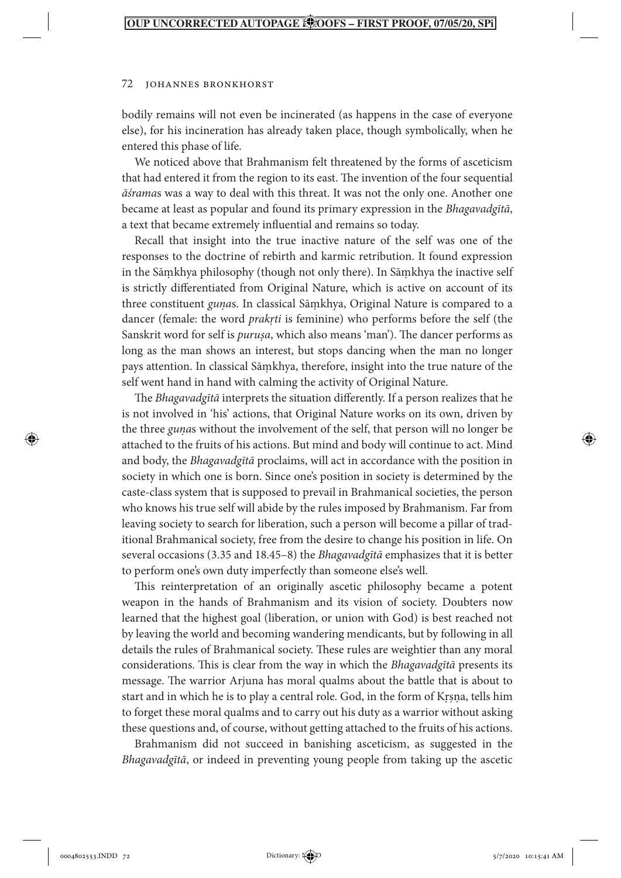bodily remains will not even be incinerated (as happens in the case of everyone else), for his incineration has already taken place, though symbolically, when he entered this phase of life.

We noticed above that Brahmanism felt threatened by the forms of asceticism that had entered it from the region to its east. The invention of the four sequential āś*rama*s was a way to deal with this threat. It was not the only one. Another one became at least as popular and found its primary expression in the *Bhagavadg*ī*t*ā, a text that became extremely infuential and remains so today.

Recall that insight into the true inactive nature of the self was one of the responses to the doctrine of rebirth and karmic retribution. It found expression in the Sāmkhya philosophy (though not only there). In Sāmkhya the inactive self is strictly diferentiated from Original Nature, which is active on account of its three constituent *gunas*. In classical Sāmkhya, Original Nature is compared to a dancer (female: the word *prakrti* is feminine) who performs before the self (the Sanskrit word for self is *purusa*, which also means 'man'). The dancer performs as long as the man shows an interest, but stops dancing when the man no longer pays attention. In classical Sāmkhya, therefore, insight into the true nature of the self went hand in hand with calming the activity of Original Nature.

The *Bhagavadgītā* interprets the situation differently. If a person realizes that he is not involved in 'his' actions, that Original Nature works on its own, driven by the three *gunas* without the involvement of the self, that person will no longer be attached to the fruits of his actions. But mind and body will continue to act. Mind and body, the *Bhagavadg*ī*t*ā proclaims, will act in accordance with the position in society in which one is born. Since one's position in society is determined by the caste-class system that is supposed to prevail in Brahmanical societies, the person who knows his true self will abide by the rules imposed by Brahmanism. Far from leaving society to search for liberation, such a person will become a pillar of traditional Brahmanical society, free from the desire to change his position in life. On several occasions (3.35 and 18.45–8) the *Bhagavadg*ī*t*ā emphasizes that it is better to perform one's own duty imperfectly than someone else's well.

This reinterpretation of an originally ascetic philosophy became a potent weapon in the hands of Brahmanism and its vision of society. Doubters now learned that the highest goal (liberation, or union with God) is best reached not by leaving the world and becoming wandering mendicants, but by following in all details the rules of Brahmanical society. These rules are weightier than any moral considerations. This is clear from the way in which the *Bhagavadgītā* presents its message. The warrior Arjuna has moral qualms about the battle that is about to start and in which he is to play a central role. God, in the form of Krsna, tells him to forget these moral qualms and to carry out his duty as a warrior without asking these questions and, of course, without getting attached to the fruits of his actions.

Brahmanism did not succeed in banishing asceticism, as suggested in the *Bhagavadg*ī*t*ā, or indeed in preventing young people from taking up the ascetic

↔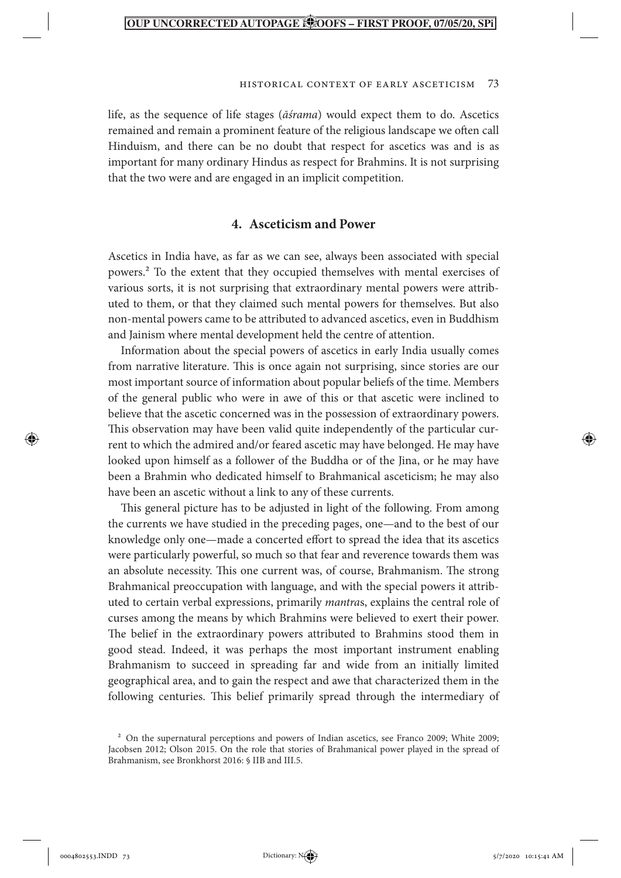#### Historical Context of Early Asceticism 73

life, as the sequence of life stages (āś*rama*) would expect them to do. Ascetics remained and remain a prominent feature of the religious landscape we ofen call Hinduism, and there can be no doubt that respect for ascetics was and is as important for many ordinary Hindus as respect for Brahmins. It is not surprising that the two were and are engaged in an implicit competition.

# **4. Asceticism and Power**

Ascetics in India have, as far as we can see, always been associated with special powers.2 To the extent that they occupied themselves with mental exercises of various sorts, it is not surprising that extraordinary mental powers were attributed to them, or that they claimed such mental powers for themselves. But also non-mental powers came to be attributed to advanced ascetics, even in Buddhism and Jainism where mental development held the centre of attention.

Information about the special powers of ascetics in early India usually comes from narrative literature. Tis is once again not surprising, since stories are our most important source of information about popular beliefs of the time. Members of the general public who were in awe of this or that ascetic were inclined to believe that the ascetic concerned was in the possession of extraordinary powers. This observation may have been valid quite independently of the particular current to which the admired and/or feared ascetic may have belonged. He may have looked upon himself as a follower of the Buddha or of the Jina, or he may have been a Brahmin who dedicated himself to Brahmanical asceticism; he may also have been an ascetic without a link to any of these currents.

This general picture has to be adjusted in light of the following. From among the currents we have studied in the preceding pages, one—and to the best of our knowledge only one—made a concerted efort to spread the idea that its ascetics were particularly powerful, so much so that fear and reverence towards them was an absolute necessity. This one current was, of course, Brahmanism. The strong Brahmanical preoccupation with language, and with the special powers it attributed to certain verbal expressions, primarily *mantra*s, explains the central role of curses among the means by which Brahmins were believed to exert their power. The belief in the extraordinary powers attributed to Brahmins stood them in good stead. Indeed, it was perhaps the most important instrument enabling Brahmanism to succeed in spreading far and wide from an initially limited geographical area, and to gain the respect and awe that characterized them in the following centuries. This belief primarily spread through the intermediary of

<sup>&</sup>lt;sup>2</sup> On the supernatural perceptions and powers of Indian ascetics, see Franco 2009; White 2009; Jacobsen 2012; Olson 2015. On the role that stories of Brahmanical power played in the spread of Brahmanism, see Bronkhorst 2016: § IIB and III.5.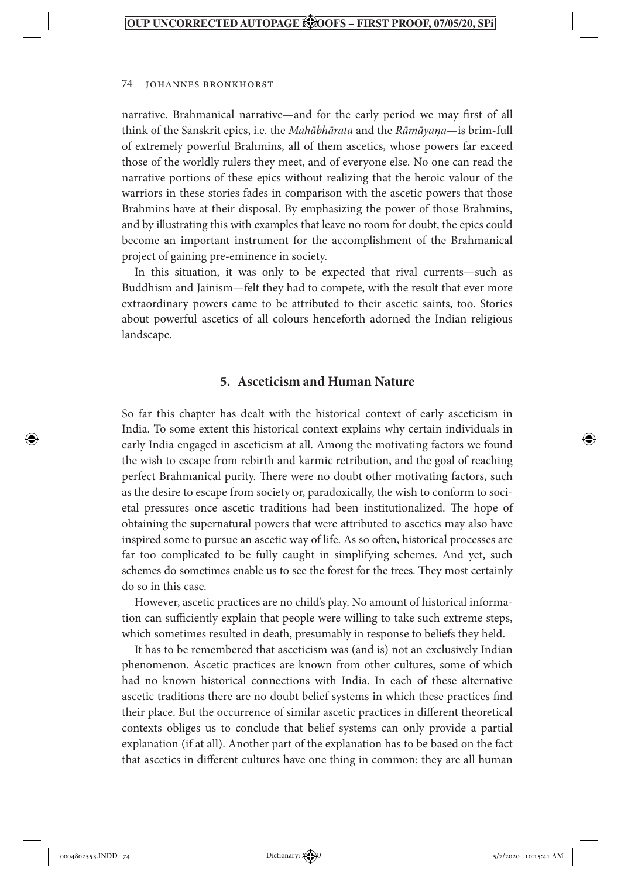narrative. Brahmanical narrative—and for the early period we may frst of all think of the Sanskrit epics, i.e. the *Mah*ā*bh*ā*rata* and the *R*ā*m*ā*yan*̣*a*—is brim-full of extremely powerful Brahmins, all of them ascetics, whose powers far exceed those of the worldly rulers they meet, and of everyone else. No one can read the narrative portions of these epics without realizing that the heroic valour of the warriors in these stories fades in comparison with the ascetic powers that those Brahmins have at their disposal. By emphasizing the power of those Brahmins, and by illustrating this with examples that leave no room for doubt, the epics could become an important instrument for the accomplishment of the Brahmanical project of gaining pre-eminence in society.

In this situation, it was only to be expected that rival currents—such as Buddhism and Jainism—felt they had to compete, with the result that ever more extraordinary powers came to be attributed to their ascetic saints, too. Stories about powerful ascetics of all colours henceforth adorned the Indian religious landscape.

# **5. Asceticism and Human Nature**

So far this chapter has dealt with the historical context of early asceticism in India. To some extent this historical context explains why certain individuals in early India engaged in asceticism at all. Among the motivating factors we found the wish to escape from rebirth and karmic retribution, and the goal of reaching perfect Brahmanical purity. There were no doubt other motivating factors, such as the desire to escape from society or, paradoxically, the wish to conform to societal pressures once ascetic traditions had been institutionalized. The hope of obtaining the supernatural powers that were attributed to ascetics may also have inspired some to pursue an ascetic way of life. As so often, historical processes are far too complicated to be fully caught in simplifying schemes. And yet, such schemes do sometimes enable us to see the forest for the trees. They most certainly do so in this case.

However, ascetic practices are no child's play. No amount of historical information can sufficiently explain that people were willing to take such extreme steps, which sometimes resulted in death, presumably in response to beliefs they held.

It has to be remembered that asceticism was (and is) not an exclusively Indian phenomenon. Ascetic practices are known from other cultures, some of which had no known historical connections with India. In each of these alternative ascetic traditions there are no doubt belief systems in which these practices fnd their place. But the occurrence of similar ascetic practices in diferent theoretical contexts obliges us to conclude that belief systems can only provide a partial explanation (if at all). Another part of the explanation has to be based on the fact that ascetics in diferent cultures have one thing in common: they are all human

↔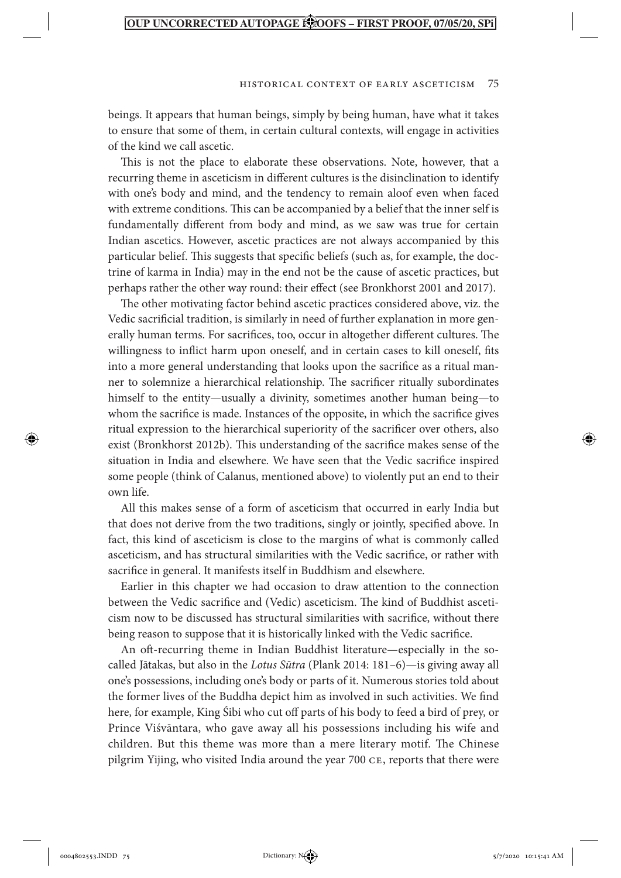#### Historical Context of Early Asceticism 75

beings. It appears that human beings, simply by being human, have what it takes to ensure that some of them, in certain cultural contexts, will engage in activities of the kind we call ascetic.

This is not the place to elaborate these observations. Note, however, that a recurring theme in asceticism in diferent cultures is the disinclination to identify with one's body and mind, and the tendency to remain aloof even when faced with extreme conditions. This can be accompanied by a belief that the inner self is fundamentally diferent from body and mind, as we saw was true for certain Indian ascetics. However, ascetic practices are not always accompanied by this particular belief. This suggests that specific beliefs (such as, for example, the doctrine of karma in India) may in the end not be the cause of ascetic practices, but perhaps rather the other way round: their efect (see Bronkhorst 2001 and 2017).

The other motivating factor behind ascetic practices considered above, viz. the Vedic sacrifcial tradition, is similarly in need of further explanation in more generally human terms. For sacrifices, too, occur in altogether different cultures. The willingness to infict harm upon oneself, and in certain cases to kill oneself, fts into a more general understanding that looks upon the sacrifce as a ritual manner to solemnize a hierarchical relationship. The sacrificer ritually subordinates himself to the entity—usually a divinity, sometimes another human being—to whom the sacrifce is made. Instances of the opposite, in which the sacrifce gives ritual expression to the hierarchical superiority of the sacrifcer over others, also exist (Bronkhorst 2012b). This understanding of the sacrifice makes sense of the situation in India and elsewhere. We have seen that the Vedic sacrifce inspired some people (think of Calanus, mentioned above) to violently put an end to their own life.

All this makes sense of a form of asceticism that occurred in early India but that does not derive from the two traditions, singly or jointly, specifed above. In fact, this kind of asceticism is close to the margins of what is commonly called asceticism, and has structural similarities with the Vedic sacrifce, or rather with sacrifce in general. It manifests itself in Buddhism and elsewhere.

Earlier in this chapter we had occasion to draw attention to the connection between the Vedic sacrifice and (Vedic) asceticism. The kind of Buddhist asceticism now to be discussed has structural similarities with sacrifce, without there being reason to suppose that it is historically linked with the Vedic sacrifce.

An oft-recurring theme in Indian Buddhist literature—especially in the socalled Jātakas, but also in the *Lotus S*ū*tra* (Plank 2014: 181–6)—is giving away all one's possessions, including one's body or parts of it. Numerous stories told about the former lives of the Buddha depict him as involved in such activities. We fnd here, for example, King Śibi who cut of parts of his body to feed a bird of prey, or Prince Viśvāntara, who gave away all his possessions including his wife and children. But this theme was more than a mere literary motif. The Chinese pilgrim Yijing, who visited India around the year 700 ce, reports that there were

↔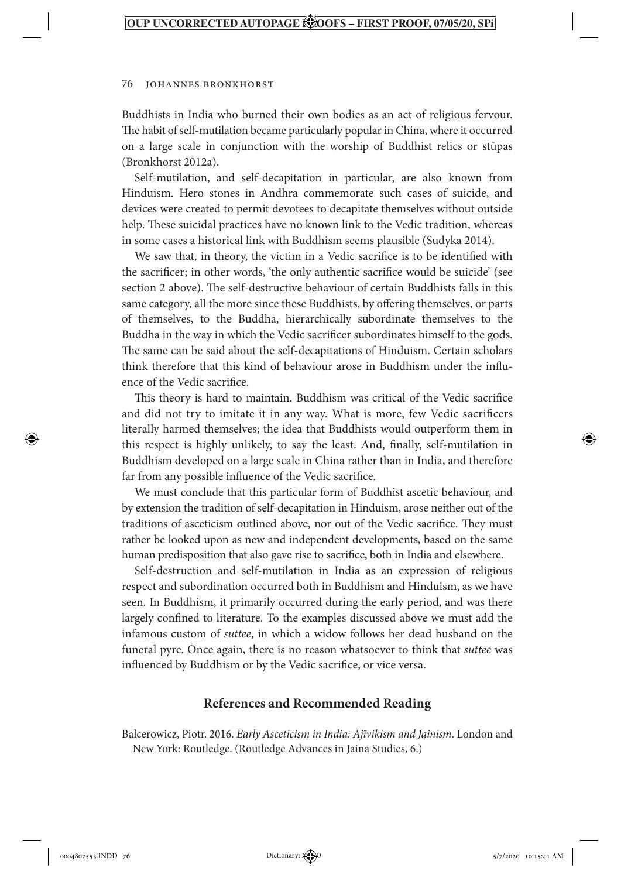Buddhists in India who burned their own bodies as an act of religious fervour. The habit of self-mutilation became particularly popular in China, where it occurred on a large scale in conjunction with the worship of Buddhist relics or stūpas (Bronkhorst 2012a).

Self-mutilation, and self-decapitation in particular, are also known from Hinduism. Hero stones in Andhra commemorate such cases of suicide, and devices were created to permit devotees to decapitate themselves without outside help. These suicidal practices have no known link to the Vedic tradition, whereas in some cases a historical link with Buddhism seems plausible (Sudyka 2014).

We saw that, in theory, the victim in a Vedic sacrifce is to be identifed with the sacrifcer; in other words, 'the only authentic sacrifce would be suicide' (see section 2 above). The self-destructive behaviour of certain Buddhists falls in this same category, all the more since these Buddhists, by offering themselves, or parts of themselves, to the Buddha, hierarchically subordinate themselves to the Buddha in the way in which the Vedic sacrifcer subordinates himself to the gods. The same can be said about the self-decapitations of Hinduism. Certain scholars think therefore that this kind of behaviour arose in Buddhism under the infuence of the Vedic sacrifce.

This theory is hard to maintain. Buddhism was critical of the Vedic sacrifice and did not try to imitate it in any way. What is more, few Vedic sacrifcers literally harmed themselves; the idea that Buddhists would outperform them in this respect is highly unlikely, to say the least. And, fnally, self-mutilation in Buddhism developed on a large scale in China rather than in India, and therefore far from any possible infuence of the Vedic sacrifce.

We must conclude that this particular form of Buddhist ascetic behaviour, and by extension the tradition of self-decapitation in Hinduism, arose neither out of the traditions of asceticism outlined above, nor out of the Vedic sacrifice. They must rather be looked upon as new and independent developments, based on the same human predisposition that also gave rise to sacrifce, both in India and elsewhere.

Self-destruction and self-mutilation in India as an expression of religious respect and subordination occurred both in Buddhism and Hinduism, as we have seen. In Buddhism, it primarily occurred during the early period, and was there largely confned to literature. To the examples discussed above we must add the infamous custom of *suttee*, in which a widow follows her dead husband on the funeral pyre. Once again, there is no reason whatsoever to think that *suttee* was infuenced by Buddhism or by the Vedic sacrifce, or vice versa.

# **References and Recommended Reading**

Balcerowicz, Piotr. 2016. *Early Asceticism in India:* Ā*j*ī*vikism and Jainism*. London and New York: Routledge. (Routledge Advances in Jaina Studies, 6.)

⊕

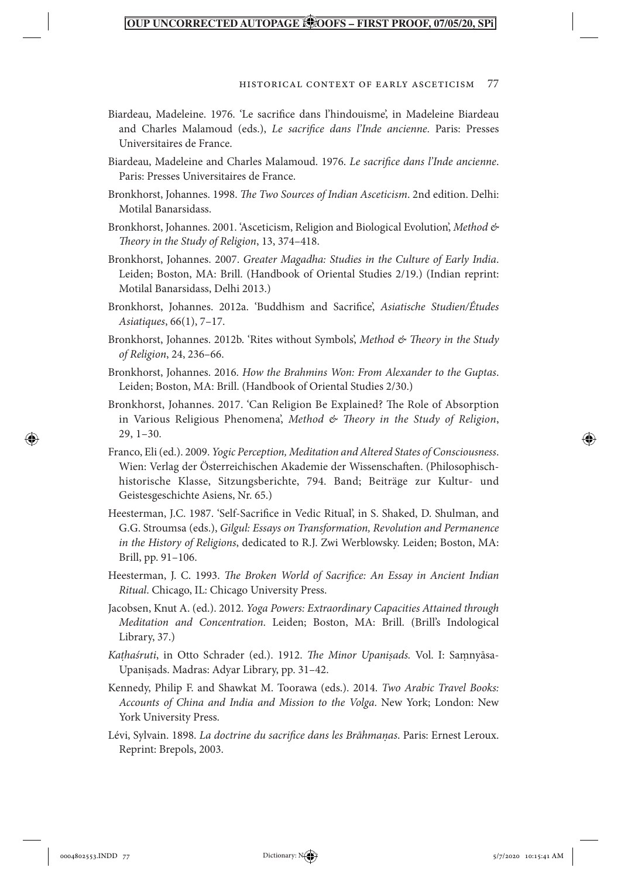Historical Context of Early Asceticism 77

- Biardeau, Madeleine. 1976. 'Le sacrifce dans l'hindouisme', in Madeleine Biardeau and Charles Malamoud (eds.), *Le sacri*f*ce dans l'Inde ancienne*. Paris: Presses Universitaires de France.
- Biardeau, Madeleine and Charles Malamoud. 1976. *Le sacri*f*ce dans l'Inde ancienne*. Paris: Presses Universitaires de France.
- Bronkhorst, Johannes. 1998. T*e Two Sources of Indian Asceticism*. 2nd edition. Delhi: Motilal Banarsidass.
- Bronkhorst, Johannes. 2001. 'Asceticism, Religion and Biological Evolution', *Method &*  T*eory in the Study of Religion*, 13, 374–418.
- Bronkhorst, Johannes. 2007. *Greater Magadha: Studies in the Culture of Early India*. Leiden; Boston, MA: Brill. (Handbook of Oriental Studies 2/19.) (Indian reprint: Motilal Banarsidass, Delhi 2013.)
- Bronkhorst, Johannes. 2012a. 'Buddhism and Sacrifce', *Asiatische Studien/Études Asiatiques*, 66(1), 7–17.
- Bronkhorst, Johannes. 2012b. 'Rites without Symbols', *Method &* T*eory in the Study of Religion*, 24, 236–66.
- Bronkhorst, Johannes. 2016. *How the Brahmins Won: From Alexander to the Guptas*. Leiden; Boston, MA: Brill. (Handbook of Oriental Studies 2/30.)
- Bronkhorst, Johannes. 2017. 'Can Religion Be Explained? The Role of Absorption in Various Religious Phenomena', *Method &* T*eory in the Study of Religion*, 29, 1–30*.*
- Franco, Eli (ed.). 2009. *Yogic Perception, Meditation and Altered States of Consciousness*. Wien: Verlag der Österreichischen Akademie der Wissenschafen. (Philosophischhistorische Klasse, Sitzungsberichte, 794. Band; Beiträge zur Kultur- und Geistesgeschichte Asiens, Nr. 65.)
- Heesterman, J.C. 1987. 'Self-Sacrifce in Vedic Ritual', in S. Shaked, D. Shulman, and G.G. Stroumsa (eds.), *Gilgul: Essays on Transformation, Revolution and Permanence in the History of Religions*, dedicated to R.J. Zwi Werblowsky. Leiden; Boston, MA: Brill, pp. 91–106.
- Heesterman, J. C. 1993. T*e Broken World of Sacri*f*ce: An Essay in Ancient Indian Ritual*. Chicago, IL: Chicago University Press.
- Jacobsen, Knut A. (ed.). 2012. *Yoga Powers: Extraordinary Capacities Attained through Meditation and Concentration*. Leiden; Boston, MA: Brill. (Brill's Indological Library, 37.)
- *Kathaśruti*, in Otto Schrader (ed.). 1912. *The Minor Upanisads*. Vol. I: Samnyāsa-Upanisads. Madras: Adyar Library, pp. 31-42.
- Kennedy, Philip F. and Shawkat M. Toorawa (eds.). 2014. *Two Arabic Travel Books: Accounts of China and India and Mission to the Volga*. New York; London: New York University Press.
- Lévi, Sylvain. 1898. *La doctrine du sacri*f*ce dans les Br*ā*hman*̣*as*. Paris: Ernest Leroux. Reprint: Brepols, 2003.

↔